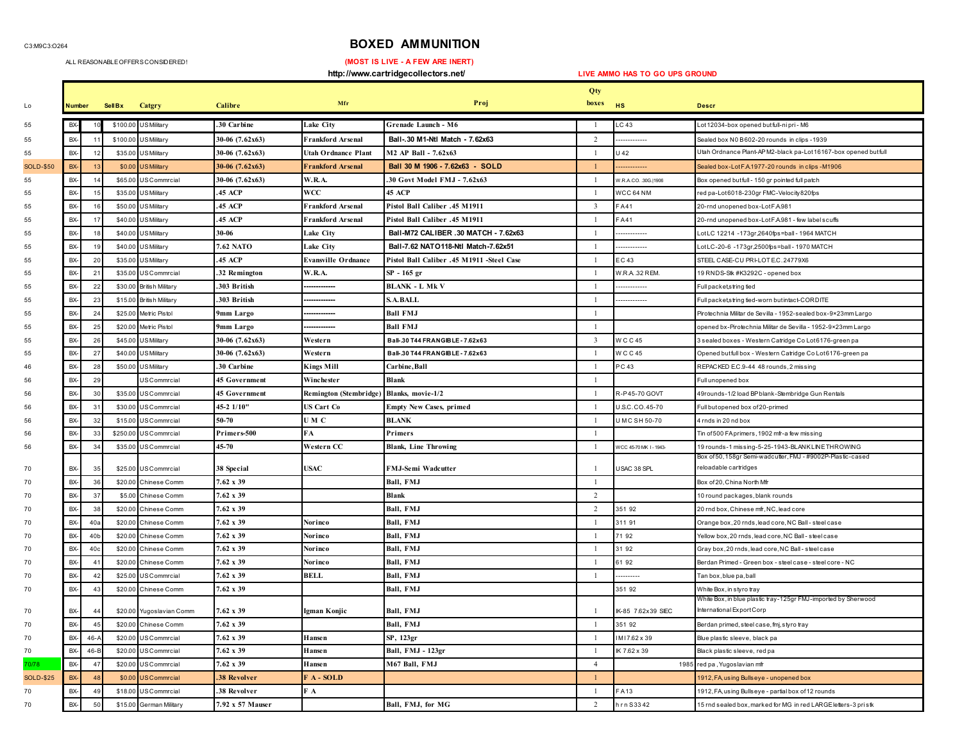C3:M9C3:O264

## **BOXED AMMUNITION**

ALL REASONABLE OFFERS CONSIDERED!

 **(MOST IS LIVE - A FEW ARE INERT)** 

 **http://www.cartridgecollectors.net/ LIVE AMMO HAS TO GO UPS GROUND** Lo **Number Sell Bx Catgry Calibre Mfr Proj Qty boxes HS Descr** BX- <sup>10</sup> \$100.00 US Military **.30 Carbine Lake City Grenade Launch - M6** 1 LC 43 Lot 12034-box opened but full-ni pri - M6 BX- <sup>11</sup> \$100.00 US Military **30-06 (7.62x63) Frankford Arsenal Ball-.30 M1-Ntl Match - 7.62x63** 2 ------------- Sealed box N0 B 602-20 rounds in clips -1939 BX- <sup>12</sup> \$35.00 US Military **30-06 (7.62x63) Utah Ordnance Plant M2 AP Ball - 7.62x63** <sup>1</sup> U 42 Utah Ordnance Plant-AP M2-black pa-Lot 16167-box opened but full SOLD-\$50 BX- <sup>13</sup> \$0.00 US Military **30-06 (7.62x63) Frankford Arsenal Ball 30 M 1906 - 7.62x63 - SOLD** 1 ------------- Sealed box-Lot F.A.1977-20 rounds in clips -M1906 BX- <sup>14</sup> \$65.00 US Commrcial **30-06 (7.62x63) W.R.A. .30 Govt Model FMJ - 7.62x63** 1 W.R.A.CO. .30G.|1906 Box opened but full - 150 gr pointed full patch BX- 15 \$35.00 US Military **.45 ACP WCC 45 ACP** 1 WCC 64 NM red pa-Lot 6018-230gr FMC-Velocity820fps BX- 16 \$50.00 US Military **.45 ACP Frankford Arsenal Pistol Ball Caliber .45 M1911** 3 F A 41 20-rnd unopened box-Lot F.A.981 BX- 17 \$40.00 US Military **.45 ACP Frankford Arsenal Pistol Ball Caliber .45 M1911** 1 F A 41 20-rnd unopened box-Lot F.A.981 - few label scuffs BX- <sup>18</sup> \$40.00 US Military **30-06 Lake City Ball-M72 CALIBER .30 MATCH - 7.62x63** 1 ------------- Lot LC 12214 -173gr,2640fps=ball - 1964 MATCH BX- <sup>19</sup> \$40.00 US Military **7.62 NATO Lake City Ball-7.62 NATO118-Ntl Match-7.62x51** 1 ------------- Lot LC-20-6 -173gr,2500fps=ball - 1970 MATCH BX- 20 \$35.00 US Military **.45 ACP Evansville Ordnance Pistol Ball Caliber .45 M1911 -Steel Case** 1 E C 43 STEEL CASE-CU PRI-LOT E.C. 24779X6 BX- <sup>21</sup> \$35.00 US Commrcial **.32 Remington W.R.A. SP - 165 gr** 1 W.R.A. .32 REM. 19 RNDS-Stk #K3292C - opened box BX- 22 \$30.00 British Military **.303 British ------------- BLANK - L Mk V** 1 ------------- Full packet,string tied BX- 23 \$15.00 British Military **.303 British ------------- S.A.BALL** 1 ------------- Full packet,string tied-worn but intact-CORDITE BX- <sup>24</sup> \$25.00 Metric Pistol **9mm Largo ------------- Ball FMJ** 1 Pirotechnia Militar de Sevilla - 1952-sealed box-9×23mm Largo BX- <sup>25</sup> \$20.00 Metric Pistol **9mm Largo ------------- Ball FMJ** 1 opened bx-Pirotechnia Militar de Sevilla - 1952-9×23mm Largo BX- <sup>26</sup> \$45.00 US Military **30-06 (7.62x63) Western Ball-.30 T44 FRANGIBLE - 7.62x63** 3 W C C 45 3 sealed boxes - Western Catridge Co Lot 6176-green pa BX- <sup>27</sup> \$40.00 US Military **30-06 (7.62x63) Western Ball-.30 T44 FRANGIBLE - 7.62x63** 1 W C C 45 Opened but full box - Western Catridge Co Lot 6176-green pa BX- <sup>28</sup> \$50.00 US Military **.30 Carbine Kings Mill Carbine,Ball** 1 P C 43 REPACKED E.C.9-44 48 rounds, 2 missing BX- 29 US Commrcial **45 Government Winchester Blank** 1 Full unopened box BX- <sup>30</sup> \$35.00 US Commrcial **45 Government Remington (Stembridge) Blanks, movie-1/2** 1 R-P 45-70 GOVT 49rounds-1/2 load BP blank-Stembridge Gun Rentals BX- <sup>31</sup> \$30.00 US Commrcial **45-2 1/10" US Cart Co Empty New Cases, primed** 1 U.S.C. CO. 45-70 Full but opened box of 20-primed BX- 32 \$15.00 US Commrcial **50-70 U M C BLANK**RIANK 4 rnds in 20 nd box BX- 33 \$250.00 US Commrcial **Primers-500 FA Primers** 1 Tin of 500 FA primers, 1902 mfr-a few missing BX- <sup>34</sup> \$35.00 US Commrcial **45-70 Western CC Blank, Line Throwing** 1 WCC 45-70 MK I - 1943- 19 rounds-1 missing-5-25-1943-BLANK LINE THROWING BX- <sup>35</sup> \$25.00 US Commrcial **38 Special USAC FMJ-Semi Wadcutter** 1 USAC 38 SPL Box of 50, 158gr Semi-wadcutter, FMJ - #9002P-Plastic-cased reloadable cartridges BX- 36 \$20.00 Chinese Comm **7.62 x 39 Ball, FMJ** 1 Box of 20, China North Mfr BX- 37 \$5.00 Chinese Comm**7.62 x 39 Blank Blank Blank 2 10** round packages, blank rounds BX- 38 \$20.00 Chinese Comm **7.62 x 39 Ball, FMJ** 2 351 92 20 rnd box, Chinese mfr, NC, lead core BX- 40a \$20.00 Chinese Comm**7.62 x 39 <b>Definition Ball, FMJ 1 1** 311 91 **1** 311 91 **Orange box, 20 rnds, lead core, NC Ball - steel case**  BX- 40b \$20.00 Chinese Comm **7.62 x 39 Norinco Ball, FMJ** 1 71 92 Yellow box, 20 rnds, lead core, NC Ball - steel case BX- 40c \$20.00 Chinese Comm **7.62 x 39 Norinco Ball, FMJ** 1 31 92 Gray box, 20 rnds, lead core, NC Ball - steel case BX- 41 \$20.00 Chinese Comm **7.62 x 39 Norinco Ball, FMJ** 1 61 92 Berdan Primed - Green box - steel case - steel core - NC BX- 42 \$25.00 US Commrcial **7.62 x 39 BELL Ball, FMJ** 1 ---------- Tan box, blue pa, ball BX- 43 \$20.00 Chinese Comm **7.62 x 39 Ball, FMJ** 351 92 White Box, in styro tray BX- <sup>44</sup> \$20.00 Yugoslavian Comm **7.62 x 39 Igman Konjic Ball, FMJ** 1 IK-85 7.62x39 SIEC White Box, in blue plastic tray-125gr FMJ-imported by Sherwood International Export Corp BX- 45 \$20.00 Chinese Comm**7.62 x 39 Ball, FMJ Ball, FMJ** 1 351 92 Berdan primed, steel case, fmj, styro tray BX- 46-A \$20.00 US Commrcial **7.62 x 39 Hansen SP, 123gr** 1 I M I 7.62 x 39 Blue plastic sleeve, black pa BX- 46-B \$20.00 US Commrcial **7.62 x 39 Hansen Ball, FMJ - 123gr** 1 IK 7.62 x 39 Black plastic sleeve, red pa 70/78 BX- 47 \$20.00 US Commrcial **7.62 x 39 Hansen M67 Ball, FMJ** 4 1985 red pa , Yugoslavian mfr SOLD-\$25 BX- 48 \$0.00 US Commrcial **.38 Revolver F A - SOLD** 1 1912, FA, using Bullseye - unopened box BX- 49 \$18.00 US Commrcial **.38 Revolver F A** FA13 1912, FA using Bullseye - partial box of 12 rounds BX- 50 \$15.00 German Military **7.92 x 57 Mauser Ball, FMJ, for MG** 2 h r n S 33 42 15 rnd sealed box, marked for MG in red LARGE letters-3 pri stk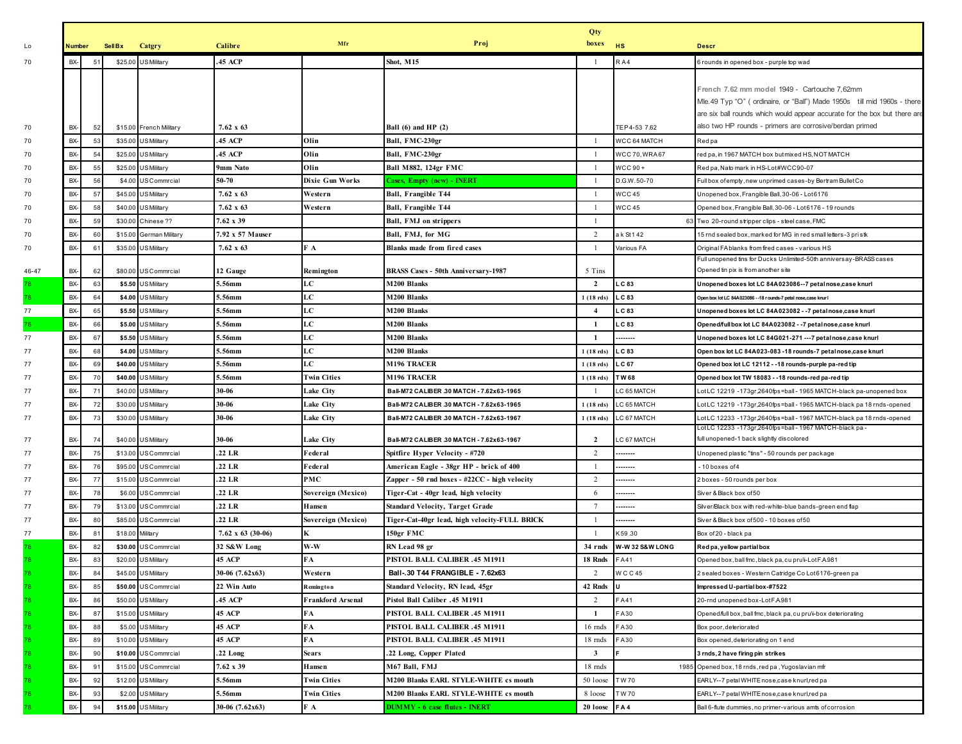|          |            |             |                  |                                           |                    |                          |                                                    | Qty                        |                      |                                                                                                                                    |
|----------|------------|-------------|------------------|-------------------------------------------|--------------------|--------------------------|----------------------------------------------------|----------------------------|----------------------|------------------------------------------------------------------------------------------------------------------------------------|
| Lo       | Number     |             | <b>Sell Bx</b>   | Catgry                                    | Calibre            | Mfr                      | Proj                                               | boxes                      | <b>HS</b>            | <b>Descr</b>                                                                                                                       |
| 70       | BX-        | $5^{\circ}$ | \$25.00          | <b>US</b> Military                        | <b>45 ACP</b>      |                          | Shot, M15                                          |                            | RA4                  | 6 rounds in opened box - purple top wad                                                                                            |
|          |            |             |                  |                                           |                    |                          |                                                    |                            |                      |                                                                                                                                    |
|          |            |             |                  |                                           |                    |                          |                                                    |                            |                      | French 7.62 mm model 1949 - Cartouche 7,62mm                                                                                       |
|          |            |             |                  |                                           |                    |                          |                                                    |                            |                      | Mle.49 Typ "O" (ordinaire, or "Ball") Made 1950s till mid 1960s - there                                                            |
|          |            |             |                  |                                           |                    |                          |                                                    |                            |                      | are six ball rounds which would appear accurate for the box but there are                                                          |
| 70       | BX-        | 52          |                  | \$15.00 French Military                   | $7.62 \times 63$   |                          | Ball $(6)$ and HP $(2)$                            |                            | TEP4-53 7.62         | also two HP rounds - primers are corrosive/berdan primed                                                                           |
| 70       | BX-        | 53          |                  | \$35.00 US Military                       | 45 ACP             | Olin                     | Ball, FMC-230gr                                    |                            | WCC 64 MATCH         | Red pa                                                                                                                             |
| 70       | BX-        | 54          | \$25.00          | <b>US</b> Military                        | <b>45 ACP</b>      | Olin                     | Ball, FMC-230gr                                    |                            | <b>WCC 70, WRA67</b> | red pa, in 1967 MATCH box butmixed HS, NOT MATCH                                                                                   |
| 70       | BX-        | 55          | \$25.00          | <b>US</b> Military                        | 9mm Nato           | Olin                     | <b>Ball M882, 124gr FMC</b>                        |                            | WCC 90+              | Red pa, Nato mark in HS-Lot#WCC90-07                                                                                               |
| 70       | BX-        | 56          |                  | \$4.00 USCommrcial                        | 50-70              | <b>Dixie Gun Works</b>   | <b>Cases, Empty (new) - INERT</b>                  | $\overline{1}$             | D.G.W.50-70          | Full box of empty, new unprimed cases-by Bertram Bullet Co                                                                         |
| 70       | BX-        | 57          |                  | \$45.00 US Military                       | $7.62 \times 63$   | Western                  | Ball, Frangible T44                                | - 1                        | <b>WCC 45</b>        | Unopened box, Frangible Ball, 30-06 - Lot6176                                                                                      |
| 70       | BX-        | 58          | \$40.00          | <b>US</b> Military                        | $7.62 \times 63$   | Western                  | Ball, Frangible T44                                |                            | <b>WCC 45</b>        | Opened box, Frangible Ball, 30-06 - Lot 6176 - 19 rounds                                                                           |
| 70       | BX-        | 59          |                  | \$30.00 Chinese ??                        | 7.62 x 39          |                          | <b>Ball, FMJ on strippers</b>                      |                            |                      | 63 Two 20-round stripper clips - steel case, FMC                                                                                   |
| 70       | BX-        | 60          |                  | \$15.00 German Military                   | 7.92 x 57 Mauser   |                          | Ball, FMJ, for MG                                  | $\overline{2}$             | a k St 142           | 15 rnd sealed box, marked for MG in red small letters-3 pristk                                                                     |
| 70       | BX-        | -6          | \$35.00          | <b>US</b> Military                        | $7.62 \times 63$   | FА                       | <b>Blanks made from fired cases</b>                |                            | Various FA           | Original FA blanks from fired cases - various HS                                                                                   |
|          |            |             |                  |                                           |                    |                          |                                                    | 5 Tins                     |                      | Full unopened tins for Ducks Unlimited-50th anniversay-BRASS cases<br>Opened tin pix is from another site                          |
| 46-47    | BX-<br>BX- | 62          |                  | \$80.00 USCommrcial                       | 12 Gauge<br>5.56mm | Remington<br>LC          | BRASS Cases - 50th Anniversary-1987<br>M200 Blanks | $\overline{2}$             | LC 83                |                                                                                                                                    |
| 78       | BX-        | 63<br>64    | \$5.50           | <b>US</b> Military<br>\$4.00 US Military  | 5.56mm             | LC                       | M200 Blanks                                        |                            | LC 83                | Unopened boxes lot LC 84A023086--7 petal nose,case knurl                                                                           |
| 78<br>77 | BX-        | 65          |                  |                                           | 5.56mm             | LC                       | M200 Blanks                                        | $1(18$ rds)<br>4           | L C 83               | Open box lot LC 84A023086 - - 18 r ounds-7 petal nose, case knur l<br>Unopened boxes lot LC 84A023082 - - 7 petal nose, case knurl |
| 78       | BX-        | 66          | \$5.00           | \$5.50 US Military<br><b>US</b> Military  | .56mm              | LC                       | M200 Blanks                                        | -1                         | LC 83                | Opened/full box lot LC 84A023082 - - 7 petal nose, case knurl                                                                      |
|          | BX-        | 67          |                  | \$5.50 US Military                        |                    | LC                       | M200 Blanks                                        | $\mathbf{1}$               |                      |                                                                                                                                    |
| 77       |            |             |                  |                                           | 5.56mm<br>i.56mm   | LC                       | M200 Blanks                                        |                            | <br>L C 83           | Unopened boxes lot LC 84G021-271 --- 7 petal nose, case knurl                                                                      |
| 77<br>77 | BX-<br>BX- | 68<br>69    |                  | \$4.00 US Military<br>\$40.00 US Military | i.56mm             | LC                       | M196 TRACER                                        | $1(18$ rds)<br>$1(18$ rds) | .C 67                | Open box lot LC 84A023-083 -18 rounds-7 petal nose, case knurl<br>Opened box lot LC 12112 - -18 rounds-purple pa-red tip           |
| 77       | BX-        | 70          |                  | \$40.00 US Military                       | 5.56mm             | <b>Twin Cities</b>       | <b>M196 TRACER</b>                                 | $1(18$ rds)                | TW68                 | Opened box lot TW 18083 - -18 rounds-red pa-red tip                                                                                |
| 77       | BX-        | 71          |                  | \$40.00 US Military                       | 30-06              | Lake City                | Ball-M72 CALIBER .30 MATCH - 7.62x63-1965          | -1                         | LC 65 MATCH          | LotLC 12219 -173gr,2640fps=ball - 1965 MATCH-black pa-unopened box                                                                 |
| 77       | BX-        | 72          | \$30.00          | <b>US</b> Military                        | 30-06              | Lake City                | Ball-M72 CALIBER .30 MATCH - 7.62x63-1965          | $1(18$ rds)                | C 65 MATCH           | LotLC 12219 -173gr,2640fps=ball-1965 MATCH-black pa 18 rnds-opened                                                                 |
| 77       | BX-        | 73          |                  | \$30.00 USMilitary                        | 30-06              | Lake City                | Ball-M72 CALIBER .30 MATCH - 7.62x63-1967          | $1(18$ rds)                | LC 67 MATCH          | LotLC 12233 -173gr,2640fps=ball- 1967 MATCH-black pa 18 rnds-opened                                                                |
|          |            |             |                  |                                           |                    |                          |                                                    |                            |                      | LotLC 12233 -173gr,2640fps=ball- 1967 MATCH-black pa -                                                                             |
| 77       | BX-        | 74          |                  | \$40.00 US Military                       | 30-06              | Lake City                | Ball-M72 CALIBER .30 MATCH - 7.62x63-1967          | $\overline{2}$             | LC 67 MATCH          | full unopened-1 back slightly discolored                                                                                           |
| 77       | BX-        | 75          |                  | \$13.00 USCommrcial                       | .22 LR             | Federal                  | Spitfire Hyper Velocity - #720                     | 2                          |                      | Unopened plastic "tins" - 50 rounds per package                                                                                    |
| 77       | BX-        | 76          | \$95.00          | <b>USCommrcial</b>                        | .22 LR             | Federal                  | American Eagle - 38gr HP - brick of 400            |                            | .                    | 10 boxes of 4                                                                                                                      |
| 77       | BX-        | 77          |                  | \$15.00 USCommrcial                       | .22 LR             | <b>PMC</b>               | Zapper - 50 rnd boxes - #22CC - high velocity      | 2                          | -------              | 2 boxes - 50 rounds per box                                                                                                        |
| 77       | BX-        | 78          |                  | \$6.00 USCommrcial                        | .22 LR             | Sovereign (Mexico)       | Tiger-Cat - 40gr lead, high velocity               | 6                          |                      | Siver & Black box of 50                                                                                                            |
| 77       | BX-        | 79          | \$13.00          | USCommrcial                               | .22 LR             | Hansen                   | Standard Velocity, Target Grade                    | 7                          |                      | Silver/Black box with red-white-blue bands-green end flap                                                                          |
| 77       | BX-        | 80          | \$85.00          | <b>USCommrcial</b>                        | .22 LR             | Sovereign (Mexico)       | Tiger-Cat-40gr lead, high velocity-FULL BRICK      | $\overline{1}$             | -------              | Siver & Black box of 500 - 10 boxes of 50                                                                                          |
| 77       | BX-        | 81          | \$18.00 Military |                                           | 7.62 x 63 (30-06)  | K                        | 150gr FMC                                          |                            | K 59.30              | Box of 20 - black pa                                                                                                               |
| 78       | BX-        |             | \$30.00          | US Commrcial                              | 32 S&W Long        | W-W                      | RN Lead 98 gr                                      | 34 rnds                    | W-W32 S&W LONG       | Red pa, yellow partial box                                                                                                         |
| 78       | BX-        | 83          |                  | \$20.00 US Military                       | 45 ACP             | FA                       | PISTOL BALL CALIBER .45 M1911                      | 18 Rnds                    | FA41                 | Opened box, ball fmc, black pa, cu pru\i-LotFA981                                                                                  |
| 78       | BX-        | 84          |                  | \$45.00 US Military                       | 30-06 (7.62x63)    | Western                  | Ball. 30 T44 FRANGIBLE - 7.62x63                   | 2                          | <b>WCC45</b>         | 2 sealed boxes - Western Catridge Co Lot 6176-green pa                                                                             |
| 78       | BX-        | 85          | \$50.00          | US Commrcial                              | 22 Win Auto        | Remington                | Standard Velocity, RN lead, 45gr                   | 42 Rnds                    |                      | Impressed U-partial box-#7522                                                                                                      |
| 78       | BX-        | 86          | \$50.00          | <b>US</b> Military                        | 45 ACP             | <b>Frankford Arsenal</b> | 1911 15 Pistol Ball Caliber                        | 2                          | FA41                 | 20-rnd unopened box-LotFA981                                                                                                       |
| 78       | BX-        | 87          |                  | \$15.00 US Military                       | 45 ACP             | FA                       | PISTOL BALL CALIBER .45 M1911                      | -1                         | <b>A30</b>           | Opened/full box, ball fmc, black pa, cu pru\i-box deteriorating                                                                    |
| 78       | BX-        | 88          | \$5.00           | <b>US</b> Military                        | 45 ACP             | FA                       | PISTOL BALL CALIBER .45 M1911                      | 16 mds                     | <b>A30</b>           | Box poor, deteriorated                                                                                                             |
| 78       | BX-        | 89          | \$10.00          | <b>US</b> Military                        | 45 ACP             | FA                       | PISTOL BALL CALIBER .45 M1911                      | 18 mds                     | <b>A30</b>           | Box opened, deteriorating on 1 end                                                                                                 |
| 78       | BX-        | 90          | \$10.00          | US Commrcial                              | .22 Long           | <b>Sears</b>             | .22 Long, Copper Plated                            | $\mathbf{3}$               |                      | 3 rnds, 2 have firing pin strikes                                                                                                  |
| 78       | BX-        | 91          | \$15.00          | <b>USCommrcial</b>                        | 7.62 x 39          | Hansen                   | M67 Ball, FMJ                                      | 18 mds                     |                      | 1985 Opened box, 18 rnds, red pa, Yugoslavian mfr                                                                                  |
| 78       | BX-        | 92          |                  | \$12.00 USMilitary                        | 5.56mm             | <b>Twin Cities</b>       | M200 Blanks EARL STYLE-WHITE cs mouth              | 50 loose                   | TW 70                | EARLY--7 petal WHITE nose,case knurl,red pa                                                                                        |
|          | BX-        | 93          | \$2.00           | <b>US</b> Military                        | 5.56mm             | <b>Twin Cities</b>       | <b>M200 Blanks EARL STYLE-WHITE cs mouth</b>       | 8 loose                    | TW 70                | EARLY--7 petal WHITE nose,case knurl,red pa                                                                                        |
|          | BX-        |             | \$15.00          | US Military                               | 30-06 (7.62x63)    | F A                      | <b>DUMMY - 6 case flutes - INERT</b>               | 20 loose                   | FA4                  | Ball 6-flute dummies, no primer-various amts of corrosion                                                                          |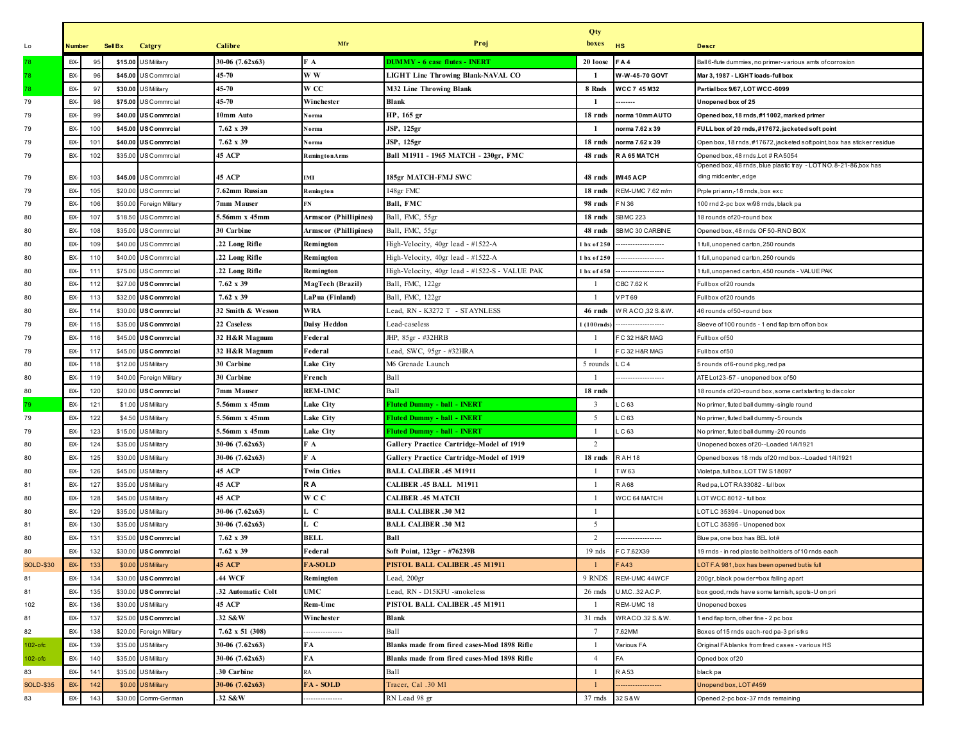|                  |               |     |                |                          |                        |                       |                                                | Qty                |                   |                                                                                           |
|------------------|---------------|-----|----------------|--------------------------|------------------------|-----------------------|------------------------------------------------|--------------------|-------------------|-------------------------------------------------------------------------------------------|
| Lo               | <b>Number</b> |     | <b>Sell Bx</b> | Catgry                   | <b>Calibre</b>         | Mfr                   | Proj                                           | boxes              | HS                | <b>Descr</b>                                                                              |
|                  | BX-           | 95  |                | \$15.00 US Military      | $30-06$ $(7.62x63)$    | F A                   | <b>DUMMY - 6 case flutes - INERT</b>           | 20 loose           | FA4               | Ball 6-flute dummies, no primer-various amts of corrosion                                 |
| 78               | BX-           | 96  |                | \$45.00 US Commrcial     | 45-70                  | W W                   | <b>LIGHT Line Throwing Blank-NAVAL CO</b>      | - 1                | W-W-45-70 GOVT    | Mar 3, 1987 - LIGHT loads-full box                                                        |
| 78               | BX-           | 97  |                | \$30.00 US Military      | 45-70                  | W CC                  | M32 Line Throwing Blank                        | 8 Rnds             | WCC 7 45 M32      | Partial box 9/67, LOT WCC-6099                                                            |
| 79               | BX-           | 98  |                | \$75.00 US Commrcial     | 45-70                  | Winchester            | Blank                                          | -1                 | -----             | Unopened box of 25                                                                        |
| 79               | BX-           | 99  |                | \$40.00 USCommrcial      | 10mm Auto              | Norma                 | HP, 165 gr                                     | 18 rnds            | norma 10mm AUTO   | Opened box, 18 rnds, #11002, marked primer                                                |
| 79               | BX-           | 100 |                | \$45.00 USCommrcial      | 7.62 x 39              | Norma                 | <b>JSP, 125gr</b>                              | -1                 | norma 7.62 x 39   | FULL box of 20 rnds, #17672, jacketed soft point                                          |
| 79               | BX-           | 101 | \$40.00        | <b>USCommrcial</b>       | 7.62 x 39              | Norma                 | <b>JSP, 125gr</b>                              | 18 rnds            | norma 7.62 x 39   | Open box, 18 rnds, #17672, jacketed soft point, box has sticker residue                   |
| 79               | BX-           | 102 | \$35.00        | <b>USCommrcial</b>       | <b>45 ACP</b>          | <b>RemingtonArms</b>  | Ball M1911 - 1965 MATCH - 230gr, FMC           | 48 rnds            | RA 65 MATCH       | Opened box, 48 rnds, Lot # RA5054                                                         |
| 79               | BX-           | 103 |                | \$45.00 US Commrcial     | 45 ACP                 | <b>IMI</b>            | 185gr MATCH-FMJ SWC                            | 48 rnds            | IMI45 ACP         | Opened box, 48 rnds, blue plastic tray  - LOT NO. 8-21-86,box has<br>ding midcenter, edge |
| 79               | BX-           | 105 |                | \$20.00 USCommrcial      | 7.62mm Russian         | Remington             | 148gr FMC                                      | 18 rnds            | REM-UMC 7.62 m/m  | Prple pri ann,-18 rnds, box exc                                                           |
| 79               | BX-           | 106 | \$50.00        | Foreign Military         | 7mm Mauser             | FN                    | Ball, FMC                                      | 98 rnds            | FN 36             | 100 rnd 2-pc box w/98 rnds, black pa                                                      |
| 80               | BX-           | 107 |                | \$18.50 USCommrcial      | 5.56mm x 45mm          | Armscor (Phillipines) | Ball, FMC, 55gr                                | 18 rnds            | <b>SBMC 223</b>   | 18 rounds of 20-round box                                                                 |
| 80               | BX-           | 108 | \$35.00        | USCommrcial              | 30 Carbine             | Armscor (Phillipines) | Ball, FMC, 55gr                                | 48 rnds            | SB MC 30 CARBINE  | Opened box, 48 rnds OF 50-RND BOX                                                         |
| 80               | BX-           | 109 | \$40.00        | <b>USCommrcial</b>       | .22 Long Rifle         | Remington             | High-Velocity, 40gr lead - #1522-A             | $1bx$ of 250       |                   | full, unopened carton, 250 rounds                                                         |
| 80               | BX-           | 110 | \$40.00        | USCommrcial              | .22 Long Rifle         | Remington             | High-Velocity, 40gr lead - #1522-A             | 1 bx of 250        |                   | full, unopened carton, 250 rounds                                                         |
| 80               | BX-           | 111 |                | \$75.00 USCommrcial      | .22 Long Rifle         | Remington             | High-Velocity, 40gr lead - #1522-S - VALUE PAK | 1 bx of 450        |                   | full, unopened carton, 450 rounds - VALUE PAK                                             |
| 80               | BX-           | 112 | \$27.00        | <b>USCommrcial</b>       | 7.62 x 39              | MagTech (Brazil)      | Ball, FMC, 122gr                               |                    | CBC 7.62 K        | Full box of 20 rounds                                                                     |
| 80               | BX-           | 113 |                | \$32.00 USCommrcial      | 7.62 x 39              | LaPua (Finland)       | Ball, FMC, 122gr                               | - 1                | <b>VPT69</b>      | Full box of 20 rounds                                                                     |
| 80               | BX-           | 114 | \$30.00        | US Commrcial             | 32 Smith & Wesson      | <b>WRA</b>            | Lead, RN - K3272 T - STAYNLESS                 | 46 rnds            | WRACO, 32 S.&W.   | 46 rounds of 50-round box                                                                 |
| 79               | BX-           | 115 | \$35.00        | <b>USCommrcial</b>       | 22 Caseless            | <b>Daisy Heddon</b>   | Lead-caseless                                  | $(100 \text{mds})$ |                   | Sleeve of 100 rounds - 1 end flap torn off on box                                         |
| 79               | BX-           | 116 | \$45.00        | <b>USCommrcial</b>       | 32 H&R Magnum          | Federal               | JHP, 85gr - #32HRB                             |                    | F C 32 H&R MAG    | Full box of 50                                                                            |
| 79               | BX-           | 117 |                | \$45.00 USCommrcial      | 32 H&R Magnum          | Federal               | Lead, SWC, 95gr - #32HRA                       |                    | FC 32 H&R MAG     | Full box of 50                                                                            |
| 80               | BX-           | 118 |                | \$12.00 USMilitary       | 30 Carbine             | Lake City             | M6 Grenade Launch                              | 5 rounds           | LC4               | 5 rounds of6-round pkg, red pa                                                            |
| 80               | BX-           | 119 |                | \$40.00 Foreign Military | 30 Carbine             | French                | Ball                                           |                    | ----------------- | ATE Lot 23-57 - unopened box of 50                                                        |
| 80               | BX-           | 120 | \$20.00        | US Commrcial             | 7mm Mauser             | <b>REM-UMC</b>        | Ball                                           | 18 rnds            |                   | 18 rounds of 20-round box, some cartstarting to discolor                                  |
| 79               | BX-           | 121 | \$1.00         | <b>US</b> Military       | 5.56mm x 45mm          | Lake City             | <b>Fluted Dummy - ball - INERT</b>             | 3                  | LC63              | No primer, fluted ball dummy-single round                                                 |
| 79               | BX-           | 122 |                | \$4.50 US Military       | 5.56mm x 45mm          | Lake City             | <b>Fluted Dummy - ball - INERT</b>             | -5                 | LC63              | No primer, fluted ball dummy-5 rounds                                                     |
| 79               | BX-           | 123 |                | \$15.00 US Military      | 5.56mm x 45mm          | Lake City             | <b>Fluted Dummy - ball - INERT</b>             |                    | C <sub>63</sub>   | No primer, fluted ball dummy-20 rounds                                                    |
| 80               | BX-           | 124 | \$35.00        | <b>US</b> Military       | $30-06$ $(7.62x63)$    | F A                   | Gallery Practice Cartridge-Model of 1919       | $\overline{2}$     |                   | Unopened boxes of 20--Loaded 1/4/1921                                                     |
| 80               | BX-           | 125 |                | \$30.00 US Military      | $30-06$ $(7.62x63)$    | F A                   | Gallery Practice Cartridge-Model of 1919       | 18 rnds            | <b>RAH18</b>      | Opened boxes 18 rnds of 20 rnd box--Loaded 1/4/1921                                       |
| 80               | BX-           | 126 |                | \$45.00 US Military      | <b>45 ACP</b>          | <b>Twin Cities</b>    | <b>BALL CALIBER .45 M1911</b>                  |                    | TW 63             | Violet pa, full box, LOT TW S18097                                                        |
| 81               | BX-           | 127 | \$35.00        | <b>US</b> Military       | <b>45 ACP</b>          | R A                   | CALIBER .45 BALL M1911                         |                    | <b>RA68</b>       | Red pa, LOT RA 33082 - full box                                                           |
| 80               | BX-           | 128 |                | \$45.00 US Military      | <b>45 ACP</b>          | <b>WCC</b>            | <b>CALIBER .45 MATCH</b>                       | $\overline{1}$     | WCC 64 MATCH      | LOT WCC 8012 - full box                                                                   |
| 80               | BX-           | 129 |                | \$35.00 US Military      | $30-06$ $(7.62x63)$    | L C                   | <b>BALL CALIBER .30 M2</b>                     |                    |                   | LOT LC 35394 - Unopened box                                                               |
| 81               | BX-           | 130 |                | \$35.00 US Military      | $30-06$ $(7.62x63)$    | L C                   | <b>BALL CALIBER .30 M2</b>                     | 5                  |                   | LOT LC 35395 - Unopened box                                                               |
| 80               | BX-           | 131 |                | \$35.00 USCommrcial      | 7.62 x 39              | <b>BELL</b>           | Ball                                           | 2                  |                   | Blue pa, one box has BEL lot#                                                             |
| 80               | BX-           | 132 |                | \$30.00 US Commrcial     | 7.62 x 39              | Federal               | Soft Point, 123gr - #76239B                    | $19$ nds           | FC 7.62X39        | 19 rnds - in red plastic beltholders of 10 rnds each                                      |
| <b>SOLD-\$30</b> | BX-           | 133 |                | \$0.00 US Military       | 45 ACP                 | <b>FA-SOLD</b>        | PISTOL BALL CALIBER .45 M1911                  | -1                 | <b>FA43</b>       | LOT F.A.981, box has been opened but is full                                              |
| 81               | BX-           | 134 |                | \$30.00 USCommrcial      | 44 WCF                 | Remington             | Lead, 200gr                                    | 9 RNDS             | REM-UMC 44WCF     | 200gr, black powder=box falling apart                                                     |
| 81               | BX-           | 135 | \$30.00        | US Commrcial             | 32 Automatic Colt      | UMC                   | Lead, RN - D15KFU -smokeless                   | 26 rnds            | U.M.C. 32 A.C.P.  | box good, rnds have some tarnish, spots-U on pri                                          |
| 102              | BX-           | 136 |                | \$30.00 US Military      | <b>45 ACP</b>          | Rem-Umc               | PISTOL BALL CALIBER .45 M1911                  |                    | REM-UMC 18        | Unopened boxes                                                                            |
| 81               | BX-           | 137 |                | \$25.00 USCommrcial      | .32 S&W                | Winchester            | Blank                                          | 31 mds             | WRACO .32 S. & W. | 1 end flap torn, other fine - 2 pc box                                                    |
| 82               | BX-           | 138 | \$20.00        | Foreign Military         | $7.62 \times 51$ (308) | .                     | Ball                                           | 7                  | 7.62MM            | Boxes of 15 rnds each-red pa-3 pristks                                                    |
| $102 - ofc$      | BX-           | 139 | \$35.00        | <b>US</b> Military       | $30-06$ $(7.62x63)$    | FA                    | Blanks made from fired cases-Mod 1898 Rifle    | - 1                | Various FA        | Original FA blanks from fired cases - various HS                                          |
| $102 - ofc$      | BX-           | 140 |                | \$35.00 US Military      | 30-06 (7.62x63)        | FA                    | Blanks made from fired cases-Mod 1898 Rifle    | $\overline{4}$     | FA                | Opned box of 20                                                                           |
| 83               | BX-           | 141 |                | \$35.00 US Military      | 30 Carbine             | RA                    | Ball                                           | - 1                | RA53              | black pa                                                                                  |
| <b>SOLD-\$35</b> | BX-           | 142 | \$0.00         | <b>US</b> Military       | $30-06$ $(7.62x63)$    | FA-SOLD               | Tracer, Cal .30 M1                             |                    |                   | Jnopend box, LOT #459                                                                     |
| 83               | BX-           | 143 |                | \$30.00 Comm-German      | .32 S&W                | .                     | RN Lead 98 gr                                  | 37 rnds            | 32 S & W          | Opened 2-pc box-37 rnds remaining                                                         |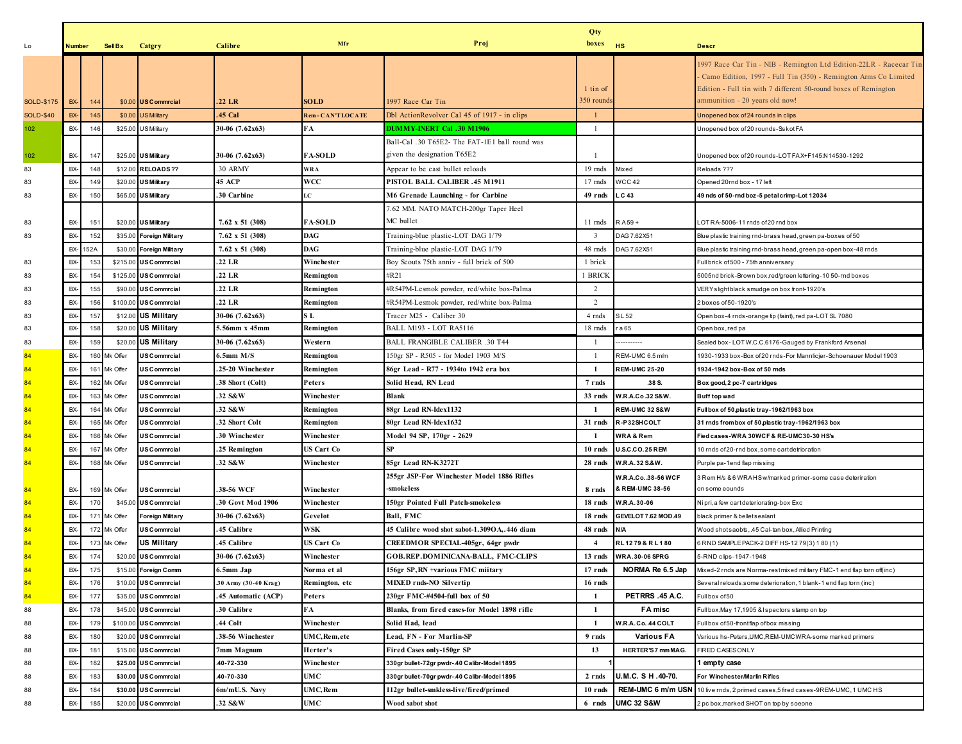|                   | Qty      |     |              |                         |                      |                    |                                                                               |                         |                                        |                                                                                                                                                                                                                                            |
|-------------------|----------|-----|--------------|-------------------------|----------------------|--------------------|-------------------------------------------------------------------------------|-------------------------|----------------------------------------|--------------------------------------------------------------------------------------------------------------------------------------------------------------------------------------------------------------------------------------------|
| Lo                | Number   |     | SellBx       | Catgry                  | Calibre              | Mfr                | Proj                                                                          | boxes                   | <b>HS</b>                              | <b>Descr</b>                                                                                                                                                                                                                               |
| <b>SOLD-\$175</b> | BX-      | 144 |              | \$0.00 USCommrcial      | .22 LR               | <b>SOLD</b>        | 1997 Race Car Tin                                                             | 1 tin of<br>350 rounds  |                                        | 1997 Race Car Tin - NIB - Remington Ltd Edition-22LR - Racecar Tin<br>Camo Edition, 1997 - Full Tin (350) - Remington Arms Co Limited<br>Edition - Full tin with 7 different 50-round boxes of Remington<br>ammunition - 20 years old now! |
| <b>SOLD-\$40</b>  | BX-      | 145 | \$0.00       | <b>US</b> Military      | <b>45 Cal</b>        | Rem - CAN'T LOCATE | Dbl ActionRevolver Cal 45 of 1917 - in clips                                  | $\overline{1}$          |                                        | Unopened box of 24 rounds in clips                                                                                                                                                                                                         |
| 102               | BX-      | 146 |              | \$25.00 US Military     | 30-06 (7.62x63)      | FA                 | <b>DUMMY-INERT Cal .30 M1906</b>                                              | $\overline{1}$          |                                        | Unopened box of 20 rounds-Sskot FA                                                                                                                                                                                                         |
| $102$             | BX-      | 147 | \$25.00      | <b>US Military</b>      | 30-06 (7.62x63)      | <b>FA-SOLD</b>     | Ball-Cal .30 T65E2- The FAT-1E1 ball round was<br>given the designation T65E2 |                         |                                        | Jnopened box of 20 rounds-LOT FAX+F145:N14530-1292                                                                                                                                                                                         |
| 83                | BX-      | 148 | \$12.00      | <b>RELOADS??</b>        | .30 ARMY             | WRA                | Appear to be cast bullet reloads                                              | 19 mds                  | Mixed                                  | Reloads ???                                                                                                                                                                                                                                |
| 83                | BX-      | 149 | \$20.00      | <b>US Military</b>      | <b>45 ACP</b>        | WCC                | PISTOL BALL CALIBER .45 M1911                                                 | 17 mds                  | <b>WCC 42</b>                          | Opened 20rnd box - 17 left                                                                                                                                                                                                                 |
| 83                | BX-      | 150 | \$65.00      | <b>US Military</b>      | 30 Carbine           | LC                 | M6 Grenade Launching - for Carbine                                            | 49 rnds                 | $\_$ C 43                              | 49 nds of 50-rnd boz-5 petal crimp-Lot 12034                                                                                                                                                                                               |
| 83                | BX-      | 151 |              | \$20.00 USMilitary      | 7.62 x 51 (308)      | <b>FA-SOLD</b>     | 7.62 MM. NATO MATCH-200gr Taper Heel<br>MC bullet                             | 11 mds                  | RA59+                                  | LOTRA-5006-11 rnds of 20 rnd box                                                                                                                                                                                                           |
| 83                | BX-      | 152 | \$35.00      | <b>Foreign Military</b> | 7.62 x 51 (308)      | DAG                | Training-blue plastic-LOT DAG 1/79                                            | $\overline{\mathbf{3}}$ | DAG 7.62X51                            | Blue plastic training rnd-brass head, green pa-boxes of 50                                                                                                                                                                                 |
|                   | BX- 152A |     | \$30.00      | <b>Foreign Military</b> | 7.62 x 51 (308)      | DAG                | Training-blue plastic-LOT DAG 1/79                                            | 48 mds                  | DAG 7.62X51                            | Blue plastic training rnd-brass head, green pa-open box-48 rnds                                                                                                                                                                            |
| 83                | BX-      | 153 | \$215.00     | <b>USCommrcial</b>      | .22 LR               | Winchester         | Boy Scouts 75th anniv - full brick of 500                                     | 1 brick                 |                                        | Full brick of 500 - 75th anniversary                                                                                                                                                                                                       |
| 83                | BX-      | 154 | \$125.00     | <b>USCommrcial</b>      | .22 LR               | Remington          | #R21                                                                          | 1 BRICK                 |                                        | 5005nd brick-Brown box, red/green lettering-10 50-rnd boxes                                                                                                                                                                                |
| 83                | BX-      | 155 | \$90.00      | <b>USCommrcial</b>      | .22 LR               | Remington          | #R54PM-Lesmok powder, red/white box-Palma                                     | 2                       |                                        | VERY slightblack smudge on box front-1920's                                                                                                                                                                                                |
| 83                | BX-      | 156 | \$100.00     | <b>USCommrcial</b>      | .22 LR               | Remington          | #R54PM-Lesmok powder, red/white box-Palma                                     | 2                       |                                        | 2 boxes of 50-1920's                                                                                                                                                                                                                       |
| 83                | BX-      | 157 | \$12.00      | <b>US Military</b>      | 30-06 (7.62x63)      | S L                | Tracer M25 - Caliber 30                                                       | 4 mds                   | SL 52                                  | Open box-4 rnds-orange tip (faint), red pa-LOT SL 7080                                                                                                                                                                                     |
| 83                | BX-      | 158 | \$20.00      | <b>US Military</b>      | 5.56mm x 45mm        | Remington          | <b>BALL M193 - LOT RA5116</b>                                                 | 18 mds                  | r a 65                                 | Open box, red pa                                                                                                                                                                                                                           |
| 83                | BX-      | 159 | \$20.0       | <b>US Military</b>      | 30-06 (7.62x63)      | Western            | <b>BALL FRANGIBLE CALIBER .30 T44</b>                                         | - 1                     |                                        | Sealed box-LOTW.C.C.6176-Gauged by Frankford Arsenal                                                                                                                                                                                       |
| 84                | BX-      | 160 | Mk Offer     | US Commrcial            | $6.5$ mm M/S         | Remington          | 150gr SP - R505 - for Model 1903 M/S                                          | - 1                     | REM-UMC 6.5 m/m                        | 1930-1933 box-Box of 20 rnds-For Mannlicjer-Schoenauer Model 1903                                                                                                                                                                          |
| 84                | BX-      | 161 | Mk Offer     | <b>JS Commrcial</b>     | .25-20 Winchester    | Remington          | 86gr Lead - R77 - 1934to 1942 era box                                         | -1                      | <b>REM-UMC 25-20</b>                   | 1934-1942 box-Box of 50 rnds                                                                                                                                                                                                               |
| 84                | BX-      |     | 162 Mk Offer | US Commrcial            | .38 Short (Colt)     | Peters             | Solid Head, RN Lead                                                           | 7 rnds                  | .38 S.                                 | Box good, 2 pc-7 cartridges                                                                                                                                                                                                                |
| 84                | BX-      | 163 | Mk Offer     | <b>JS Commrcial</b>     | 32 S&W               | Winchester         | Blank                                                                         | 33 rnds                 | W.R.A.Co.32 S&W                        | <b>Buff top wad</b>                                                                                                                                                                                                                        |
| 84                | BX-      | 164 | Mk Offer     | <b>JSCommrcial</b>      | .32 S&W              | Remington          | 88gr Lead RN-Idex1132                                                         | - 1                     | <b>REM-UMC 32 S&amp;W</b>              | Full box of 50, plastic tray-1962/1963 box                                                                                                                                                                                                 |
| 84                | BX-      | 165 | Mk Offer     | <b>JSCommrcial</b>      | 32 Short Colt        | Remington          | 80gr Lead RN-Idex1632                                                         | 31 rnds                 | R-P32SHCOLT                            | 31 rnds from box of 50, plastic tray-1962/1963 box                                                                                                                                                                                         |
| 84                | BX-      | 166 | Mk Offer     | <b>JS Commrcial</b>     | 30 Winchester        | Winchester         | Model 94 SP, 170gr - 2629                                                     | -1                      | <b>WRA &amp; Rem</b>                   | Fied cases-WRA 30WCF & RE-UMC30-30 HS's                                                                                                                                                                                                    |
| 84                | BX-      | 167 | Mk Offer     | <b>JS Commrcial</b>     | .25 Remington        | US Cart Co         | <b>SP</b>                                                                     | 10 rnds                 | <b>U.S.C.CO.25 REM</b>                 | 10 rnds of 20-rnd box, some cartdetrioration                                                                                                                                                                                               |
| 84                | BX-      | 168 | Mk Offer     | <b>JSCommrcial</b>      | .32 S&W              | Winchester         | 85gr Lead RN-K3272T                                                           | 28 rnds                 | W.R.A.32 S.&W.                         | Purple pa-1end flap missing                                                                                                                                                                                                                |
| 84                | BX-      |     | 169 Mk Offer | <b>JSCommrcial</b>      | 38-56 WCF            | Winchester         | 255gr JSP-For Winchester Model 1886 Rifles<br>-smokeless                      | 8 rnds                  | W.R.A.Co. 38-56 WCF<br>& REM-UMC 38-56 | 3 Rem H/s & 6 WRAHS w/marked primer-some case deteriration<br>on some eounds                                                                                                                                                               |
| 84                | BX-      | 170 | \$45.0       | <b>USCommrcial</b>      | .30 Govt Mod 1906    | Winchester         | 150gr Pointed Full Patch-smokeless                                            | 18 rnds                 | W.R.A.30-06                            | Nipri, a few cart deteriorating-box Exc                                                                                                                                                                                                    |
| 84                | BX-      | 171 | Mk Offer     | Foreign Military        | 30-06 (7.62x63)      | Gevelot            | <b>Ball, FMC</b>                                                              | 18 rnds                 | GEVELOT 7.62 MOD.49                    | black primer & belletsealant                                                                                                                                                                                                               |
| 84                | BX-      |     | 172 Mk Offer | US Commrcial            | 45 Calibre           | WSK                | 45 Calibre wood shot sabot-1.309OA,.446 diam                                  | 48 rnds                 | N/A                                    | Wood shotsaobts, 45 Cal-tan box, Allied Printing                                                                                                                                                                                           |
| 84                | BX-      |     | 173 Mk Offer | <b>US Military</b>      | .45 Calibre          | <b>US Cart Co</b>  | CREEDMOR SPECIAL-405gr, 64gr pwdr                                             | $\overline{4}$          | RL1279&RL180                           | 6 RND SAMPLE PACK-2 DIFF HS-12 79(3) 1 80 (1)                                                                                                                                                                                              |
| 84                | BX-      | 174 | \$20.00      | <b>USCommrcial</b>      | 30-06 (7.62x63)      | Winchester         | <b>GOB.REP.DOMINICANA-BALL, FMC-CLIPS</b>                                     | 13 rnds                 | <b>WRA.30-06 SPRG</b>                  | 5-RND clips-1947-1948                                                                                                                                                                                                                      |
|                   | BX-      | 175 | \$15.00      | <b>Foreign Comm</b>     | 6.5mm Jap            | Norma et al        | 156gr SP, RN +various FMC miitary                                             | $17$ rnds               |                                        | NORMA Re 6.5 Jap Mixed-2 rnds are Norma-restmixed military FMC-1 end flap torn off(inc)                                                                                                                                                    |
| 84                | BX-      | 176 | \$10.00      | <b>USCommrcial</b>      | 30 Army (30-40 Krag) | Remington, etc     | <b>MIXED rnds-NO Silvertip</b>                                                | 16 rnds                 |                                        | Several reloads, some deterioration, 1 blank-1 end flap torn (inc)                                                                                                                                                                         |
| 84                | BX-      | 177 | \$35.0       | US Commrcial            | 45 Automatic (ACP)   | Peters             | 230gr FMC-#4504-full box of 50                                                | -1                      | PETRRS .45 A.C.                        | Full box of 50                                                                                                                                                                                                                             |
| 88                | BX-      | 178 | \$45.00      | <b>USCommrcial</b>      | .30 Calibre          | FA                 | Blanks, from fired cases-for Model 1898 rifle                                 | -1                      | FA misc                                | Full box, May 17, 1905 & I spectors stamp on top                                                                                                                                                                                           |
| 88                | BX-      | 179 | \$100.00     | <b>USCommrcial</b>      | .44 Colt             | Winchester         | Solid Had, lead                                                               | $\mathbf{1}$            | W.R.A.Co. 44 COLT                      | Full box of 50-frontflap of box missing                                                                                                                                                                                                    |
| 88                | BX-      | 180 | \$20.00      | <b>USCommrcial</b>      | 38-56 Winchester     | UMC, Rem, etc      | Lead, FN - For Marlin-SP                                                      | 9 rnds                  | Various FA                             | Vsrious hs-Peters, UMC, REM-UMCWRA-some marked primers                                                                                                                                                                                     |
| 88                | BX-      | 181 | \$15.00      | <b>USCommrcial</b>      | 7mm Magnum           | Herter's           | Fired Cases only-150gr SP                                                     | 13                      | HERTER'S 7 mm MAG.                     | FIRED CASES ONLY                                                                                                                                                                                                                           |
| 88                | BX-      | 182 | \$25.00      | <b>USCommrcial</b>      | 40-72-330            | Winchester         | 330gr bullet-72gr pwdr-.40 Calibr-Model 1895                                  |                         |                                        | 1 empty case                                                                                                                                                                                                                               |
| 88                | BX-      | 183 | \$30.00      | <b>USCommrcial</b>      | 40-70-330            | UMC                | 330gr bullet-70gr pwdr-.40 Calibr-Model 1895                                  | 2 rnds                  | U.M.C. S H .40-70.                     | For Winchester/Marlin Rifles                                                                                                                                                                                                               |
| 88                | BX-      | 184 | \$30.00      | <b>USCommrcial</b>      | 6m/mU.S. Navy        | UMC,Rem            | 112gr bullet-smkless-live/fired/primed                                        | 10 rnds                 | REM-UMC 6 m/m USN                      | 10 live rnds, 2 primed cases, 5 fired cases-9REM-UMC, 1 UMC HS                                                                                                                                                                             |
| 88                | BX-      | 185 |              | \$20.00 USCommrcial     | .32 S&W              | UMC                | Wood sabot shot                                                               | 6 rnds                  | <b>UMC 32 S&amp;W</b>                  | 2 pc box, marked SHOT on top by soeone                                                                                                                                                                                                     |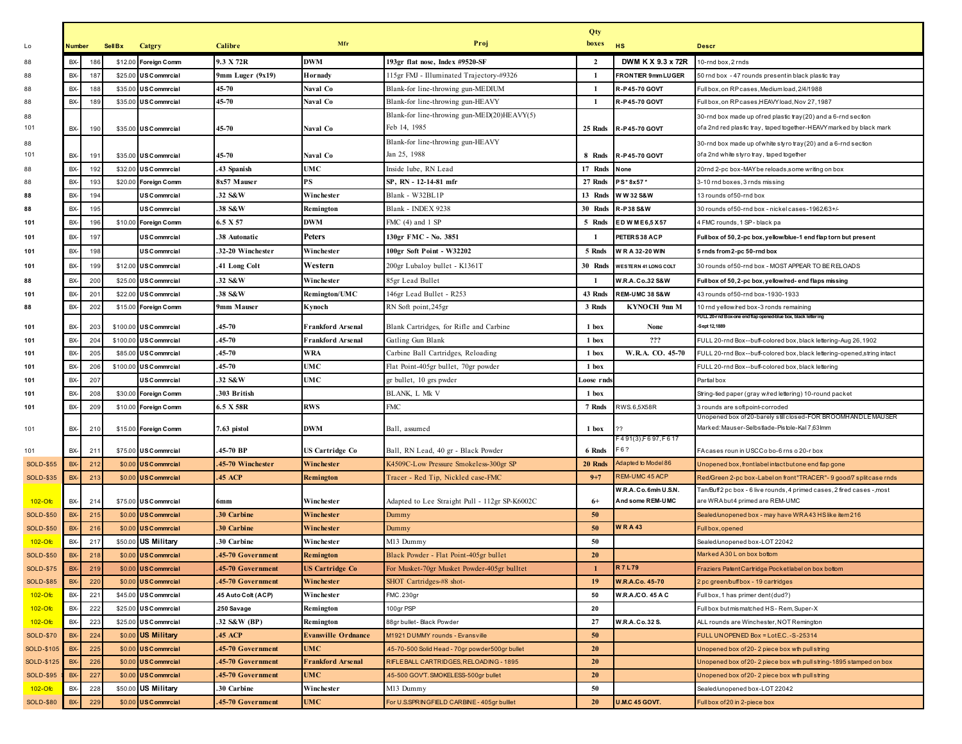|           |     |                |                      |                    |                            |                                                             | Qty        |                                         |                                                                                                                                        |
|-----------|-----|----------------|----------------------|--------------------|----------------------------|-------------------------------------------------------------|------------|-----------------------------------------|----------------------------------------------------------------------------------------------------------------------------------------|
| Number    |     | <b>Sell Bx</b> | Catgry               | Calibre            | Mfr                        | Proj                                                        | boxes      | <b>HS</b>                               | <b>Descr</b>                                                                                                                           |
| BX-       | 186 |                | \$12.00 Foreign Comm | 9.3 X 72R          | <b>DWM</b>                 | 193gr flat nose, Index #9520-SF                             | 2          | DWM K X 9.3 x 72R                       | 10-rnd box, 2 rnds                                                                                                                     |
| BX-       | 187 | \$25.00        | <b>USCommrcial</b>   | 9mm Luger (9x19)   | Hornady                    | 115gr FMJ - Illuminated Trajectory-#9326                    | -1         | FRONTIER 9mm LUGER                      | 50 rnd box - 47 rounds presentin black plastic tray                                                                                    |
| BX-       | 188 | \$35.00        | <b>USCommrcial</b>   | 45-70              | Naval Co                   | Blank-for line-throwing gun-MEDIUM                          | -1         | R-P45-70 GOVT                           | Full box, on RP cases, Medium load, 2/4/1988                                                                                           |
| BX-       | 189 | \$35.00        | <b>USCommrcial</b>   | 45-70              | Naval Co                   | Blank-for line-throwing gun-HEAVY                           | -1         | R-P45-70 GOVT                           | Full box, on RP cases, HEAVY load, Nov 27, 1987                                                                                        |
| BX-       | 190 |                | \$35.00 US Commrcial | 45-70              | Naval Co                   | Blank-for line-throwing gun-MED(20)HEAVY(5)<br>Feb 14, 1985 | 25 Rnds    | R-P45-70 GOVT                           | 30-rnd box made up ofred plastic tray (20) and a 6-rnd section<br>of a 2nd red plastic tray, taped together-HEAVY marked by black mark |
|           |     |                |                      |                    |                            | Blank-for line-throwing gun-HEAVY                           |            |                                         |                                                                                                                                        |
| BX-       | 191 |                | \$35.00 US Commrcial | 45-70              | Naval Co                   | Jan 25, 1988                                                | 8 Rnds     | R-P45-70 GOVT                           | 30-rnd box made up of white styro tray (20) and a 6-rnd section<br>of a 2nd white styro tray, taped together                           |
| BX-       | 192 | \$32.00        | <b>USCommrcial</b>   | 43 Spanish         | <b>UMC</b>                 | Inside lube, RN Lead                                        | 17 Rnds    | None                                    | 20rnd 2-pc box-MAY be reloads,some writing on box                                                                                      |
| BX-       | 193 | \$20.00        | <b>Foreign Comm</b>  | 8x57 Mauser        | PS                         | SP, RN - 12-14-81 mfr                                       | 27 Rnds    | PS*8x57*                                | 3-10 rnd boxes, 3 rnds missing                                                                                                         |
| BX-       | 194 |                | <b>US Commrcial</b>  | .32 S&W            | Winchester                 | Blank - W32BL1P                                             | 13 Rnds    | W W 32 S&W                              | 13 rounds of 50-rnd box                                                                                                                |
| BX-       | 195 |                | <b>US Commrcial</b>  | 38 S&W             | Remington                  | Blank - INDEX 9238                                          | 30 Rnds    | R-P38 S&W                               | 30 rounds of 50-rnd box - nickel cases-1962/63+/-                                                                                      |
| BX-       | 196 | \$10.00        | <b>Foreign Comm</b>  | 6.5 X 57           | <b>DWM</b>                 | FMC (4) and 1 SP                                            | 5 Rnds     | ED W ME6,5 X57                          | 4 FMC rounds, 1 SP - black pa                                                                                                          |
| BX-       | 197 |                | US Commrcial         | 38 Autonatic       | <b>Peters</b>              | 130gr FMC - No. 3851                                        | -1         | PETERS38 ACP                            | Full box of 50, 2-pc box, yellow/blue-1 end flap torn but present                                                                      |
| BX-       | 198 |                | <b>US Commrcial</b>  | 32-20 Winchester   | Winchester                 | 100gr Soft Point - W32202                                   | 5 Rnds     | W R A 32-20 WIN                         | 5 rnds from 2-pc 50-rnd box                                                                                                            |
| BX-       | 199 | \$12.00        | <b>US Commrcial</b>  | .41 Long Colt      | Western                    | 200gr Lubaloy bullet - K1361T                               | 30 Rnds    | <b>WESTERN 41 LONG COLT</b>             | 30 rounds of 50-rnd box - MOST APPEAR TO BE RELOADS                                                                                    |
| BX-       | 200 | \$25.00        | <b>USCommrcial</b>   | .32 S&W            | Winchester                 | 85gr Lead Bullet                                            | - 1        | W.R.A.Co.32 S&W                         | Full box of 50, 2-pc box, yellow/red-end flaps missing                                                                                 |
| BX-       | 201 | \$22.00        | <b>US Commrcial</b>  | .38 S&W            | Remington/UMC              | 146gr Lead Bullet - R253                                    | 43 Rnds    | <b>REM-UMC 38 S&amp;W</b>               | 43 rounds of 50-rnd box-1930-1933                                                                                                      |
| BX-       | 202 | \$15.00        | <b>Foreign Comm</b>  | 9mm Mauser         | Kynoch                     | RN Soft point, 245gr                                        | 3 Rnds     | KYNOCH 9nn M                            | 10 rnd yellow/red box-3 ronds remaining                                                                                                |
| BX-       | 203 | \$100.00       | <b>US Commrcial</b>  | 45-70              | Frankford Arsenal          | Blank Cartridges, for Rifle and Carbine                     | 1 box      | None                                    | FULL 20-r nd Box-one end flap opened-blue box, black letter ing<br>-Sept 12,1889                                                       |
| BX-       | 204 | \$100.00       | <b>US Commrcial</b>  | 45-70              | <b>Frankford Arsenal</b>   | Gatling Gun Blank                                           | 1 box      | ???                                     | FULL 20-rnd Box--buff-colored box, black lettering-Aug 26, 1902                                                                        |
| BX-       | 205 | \$85.00        | <b>US Commrcial</b>  | 45-70              | WRA                        | Carbine Ball Cartridges, Reloading                          | 1 box      | W.R.A. CO. 45-70                        | FULL 20-rnd Box--buff-colored box, black lettering-opened, string intact                                                               |
| BX-       | 206 | \$100.00       | <b>USCommrcial</b>   | 45-70              | UMC                        | Flat Point-405gr bullet, 70gr powder                        | 1 box      |                                         | FULL 20-rnd Box--buff-colored box, black lettering                                                                                     |
| BX-       | 207 |                | <b>US Commrcial</b>  | .32 S&W            | <b>UMC</b>                 | gr bullet, 10 grs pwder                                     | Loose rnd: |                                         | Partial box                                                                                                                            |
| BX-       | 208 | \$30.00        | <b>Foreign Comm</b>  | .303 British       |                            | BLANK, L Mk V                                               | 1 box      |                                         | String-tied paper (gray w/red lettering) 10-round packet                                                                               |
| BX-       | 209 | \$10.00        | <b>Foreign Comm</b>  | 6.5 X 58R          | <b>RWS</b>                 | ${\rm FMC}$                                                 | 7 Rnds     | RWS.6,5X58R                             | 3 rounds are softpoint-corroded                                                                                                        |
|           |     |                |                      |                    |                            |                                                             |            |                                         | Jnopened box of 20-barely still closed-FOR BROOMHANDLE MAUSER                                                                          |
| BX-       | 210 |                | \$15.00 Foreign Comm | 7.63 pistol        | <b>DWM</b>                 | Ball, assumed                                               | 1 box      |                                         | Marked: Mauser-Selbstlade-Pistole-Kal 7,63lmm                                                                                          |
| BX-       | 211 | \$75.00        | <b>USCommrcial</b>   | 45-70 BP           | <b>US Cartridge Co</b>     | Ball, RN Lead, 40 gr - Black Powder                         | 6 Rnds     | 491(3),F697,F617<br>-67                 | FAcases roun in USCCo bo-6 rns o 20-r box                                                                                              |
| BX-       | 212 | \$0.00         | <b>US Commrcial</b>  | 45-70 Winchester   | Winchester                 | K4509C-Low Pressure Smokeless-300gr SP                      | 20 Rnds    | Adapted to Model 86                     | Unopened box, frontlabel intactbutone end flap gone                                                                                    |
| BX-       | 213 | \$0.00         | <b>US Commrcial</b>  | 45 ACP             | Remington                  | Tracer - Red Tip, Nickled case-FMC                          | $9 + 7$    | REM-UMC 45 ACP                          | Red/Green 2-pc box-Label on front"TRACER"- 9 good/7 splitcase rnds                                                                     |
| BX-       | 214 | \$75.00        | <b>USCommrcial</b>   | 6mm                | Winchester                 | Adapted to Lee Straight Pull - 112gr SP-K6002C              | $6+$       | W.R.A.Co.6m/nU.S.N.<br>And some REM-UMC | Tan/Buff2 pc box - 6 live rounds, 4 primed cases, 2 fired cases -, most<br>are WRA but 4 primed are REM-UMC                            |
| BX-       | 215 | \$0.00         | <b>US Commrcial</b>  | 30 Carbine         | Winchester                 | Dummy                                                       | -50        |                                         | Sealed/unopened box - may have WRA43 HS like item 216                                                                                  |
| BX-       | 216 | \$0.00         | <b>US Commrcial</b>  | 30 Carbine         | Winchester                 | Dummy                                                       | 50         | <b>WRA43</b>                            | Full box, opened                                                                                                                       |
| BX-       | 217 |                | \$50.00 US Military  | .30 Carbine        | Winchester                 | M13 Dummy                                                   | 50         |                                         | Sealed/unopened box-LOT 22042                                                                                                          |
| BX-       | 218 | \$0.00         | <b>US Commrcial</b>  | 45-70 Government   | Remington                  | Black Powder - Flat Point-405gr bullet                      | 20         |                                         | Marked A30 L on box bottom                                                                                                             |
| BX-       | 219 |                | \$0.00 US Commrcial  | 45-70 Government   | <b>US Cartridge Co</b>     | For Musket-70gr Musket Powder-405gr bulltet                 |            | <b>R7L79</b>                            | Fraziers Patent Cartridge Pocket label on box bottom                                                                                   |
| BX-       | 220 | \$0.00         | <b>US Commrcial</b>  | 45-70 Government   | Winchester                 | SHOT Cartridges-#8 shot-                                    | 19         | <b>W.R.A.Co. 45-70</b>                  | 2 pc green/buffbox - 19 cartridges                                                                                                     |
| BX-       | 221 | \$45.00        | <b>USCommrcial</b>   | 45 Auto Colt (ACP) | Winchester                 | FMC.230gr                                                   | 50         | W.R.A./CO. 45 A C                       | Full box, 1 has primer dent(dud?)                                                                                                      |
| BX-       | 222 | \$25.00        | <b>USCommrcial</b>   | .250 Savage        | Remington                  | 100gr PSP                                                   | 20         |                                         | Full box butmismatched HS-Rem, Super-X                                                                                                 |
| BX-       | 223 | \$25.00        | <b>US Commrcial</b>  | .32 S&W (BP)       | Remington                  | 88gr bullet- Black Powder                                   | 27         | W.R.A.Co.32S.                           | ALL rounds are Winchester, NOT Remington                                                                                               |
| BX-       | 224 | \$0.00         | <b>US Military</b>   | 45 ACP             | <b>Evansville Ordnance</b> | M1921 DUMMY rounds - Evansville                             | 50         |                                         | FULL UNOPENED Box = LotE.C. - S-25314                                                                                                  |
| BX-       | 225 | \$0.00         | <b>US Commrcial</b>  | 45-70 Government   | <b>UMC</b>                 | 45-70-500 Solid Head - 70gr powder500gr bullet              | 20         |                                         | Unopened box of 20-2 piece box wth pull string                                                                                         |
| BX-       | 226 | \$0.00         | <b>US Commrcial</b>  | 45-70 Government   | <b>Frankford Arsenal</b>   | RIFLE BALL CARTRIDGES, RELOADING - 1895                     | <b>20</b>  |                                         | Unopened box of 20-2 piece box wth pull string-1895 stamped on box                                                                     |
| BX-       | 227 | \$0.00         | <b>US Commrcial</b>  | 45-70 Government   | <b>UMC</b>                 | 45-500 GOVT. SMOKELESS-500gr bullet                         | <b>20</b>  |                                         | Unopened box of 20-2 piece box wth pull string                                                                                         |
| BX-       | 228 |                | \$50.00 US Military  | .30 Carbine        | Winchester                 | M13 Dummy                                                   | 50         |                                         | Sealed/unopened box-LOT 22042                                                                                                          |
| <b>BX</b> | 229 |                | \$0.00 US Commrcial  | 45-70 Government   | <b>UMC</b>                 | For U.S.SPRINGFIELD CARBINE - 405gr bulllet                 | <b>20</b>  | U.M.C 45 GOVT.                          | Full box of 20 in 2-piece box                                                                                                          |
|           |     |                |                      |                    |                            |                                                             |            |                                         |                                                                                                                                        |